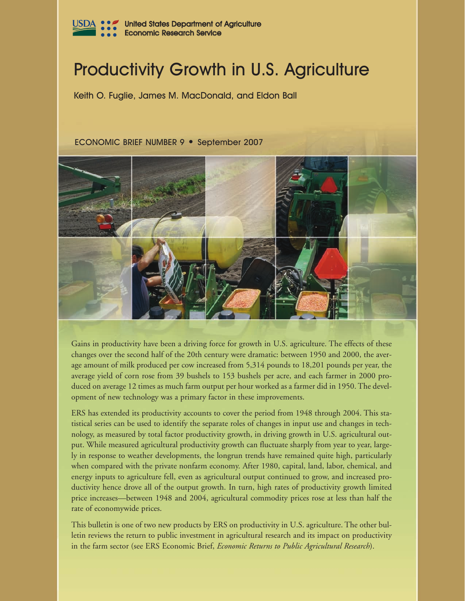

# Productivity Growth in U.S. Agriculture

Keith O. Fuglie, James M. MacDonald, and Eldon Ball

#### ECONOMIC BRIEF NUMBER 9 • September 2007



Gains in productivity have been a driving force for growth in U.S. agriculture. The effects of these changes over the second half of the 20th century were dramatic: between 1950 and 2000, the average amount of milk produced per cow increased from 5,314 pounds to 18,201 pounds per year, the average yield of corn rose from 39 bushels to 153 bushels per acre, and each farmer in 2000 produced on average 12 times as much farm output per hour worked as a farmer did in 1950. The development of new technology was a primary factor in these improvements.

ERS has extended its productivity accounts to cover the period from 1948 through 2004. This statistical series can be used to identify the separate roles of changes in input use and changes in technology, as measured by total factor productivity growth, in driving growth in U.S. agricultural output. While measured agricultural productivity growth can fluctuate sharply from year to year, largely in response to weather developments, the longrun trends have remained quite high, particularly when compared with the private nonfarm economy. After 1980, capital, land, labor, chemical, and energy inputs to agriculture fell, even as agricultural output continued to grow, and increased productivity hence drove all of the output growth. In turn, high rates of productivity growth limited price increases—between 1948 and 2004, agricultural commodity prices rose at less than half the rate of economywide prices.

This bulletin is one of two new products by ERS on productivity in U.S. agriculture. The other bulletin reviews the return to public investment in agricultural research and its impact on productivity in the farm sector (see ERS Economic Brief, *Economic Returns to Public Agricultural Research*).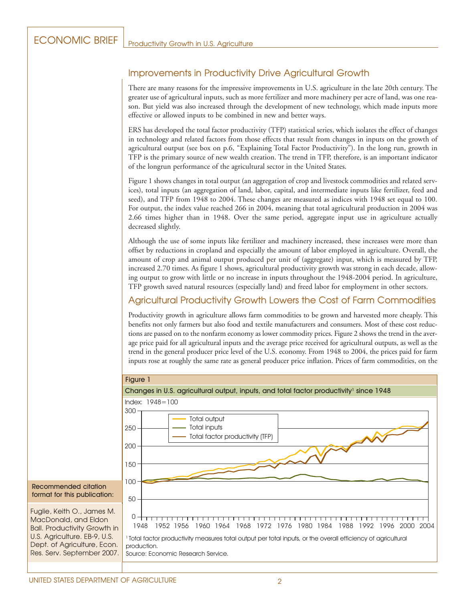## Improvements in Productivity Drive Agricultural Growth

There are many reasons for the impressive improvements in U.S. agriculture in the late 20th century. The greater use of agricultural inputs, such as more fertilizer and more machinery per acre of land, was one reason. But yield was also increased through the development of new technology, which made inputs more effective or allowed inputs to be combined in new and better ways.

ERS has developed the total factor productivity (TFP) statistical series, which isolates the effect of changes in technology and related factors from those effects that result from changes in inputs on the growth of agricultural output (see box on p.6, "Explaining Total Factor Productivity"). In the long run, growth in TFP is the primary source of new wealth creation. The trend in TFP, therefore, is an important indicator of the longrun performance of the agricultural sector in the United States.

Figure 1 shows changes in total output (an aggregation of crop and livestock commodities and related services), total inputs (an aggregation of land, labor, capital, and intermediate inputs like fertilizer, feed and seed), and TFP from 1948 to 2004. These changes are measured as indices with 1948 set equal to 100. For output, the index value reached 266 in 2004, meaning that total agricultural production in 2004 was 2.66 times higher than in 1948. Over the same period, aggregate input use in agriculture actually decreased slightly.

Although the use of some inputs like fertilizer and machinery increased, these increases were more than offset by reductions in cropland and especially the amount of labor employed in agriculture. Overall, the amount of crop and animal output produced per unit of (aggregate) input, which is measured by TFP, increased 2.70 times. As figure 1 shows, agricultural productivity growth was strong in each decade, allowing output to grow with little or no increase in inputs throughout the 1948-2004 period. In agriculture, TFP growth saved natural resources (especially land) and freed labor for employment in other sectors.

#### Agricultural Productivity Growth Lowers the Cost of Farm Commodities

Productivity growth in agriculture allows farm commodities to be grown and harvested more cheaply. This benefits not only farmers but also food and textile manufacturers and consumers. Most of these cost reductions are passed on to the nonfarm economy as lower commodity prices. Figure 2 shows the trend in the average price paid for all agricultural inputs and the average price received for agricultural outputs, as well as the trend in the general producer price level of the U.S. economy. From 1948 to 2004, the prices paid for farm inputs rose at roughly the same rate as general producer price inflation. Prices of farm commodities, on the

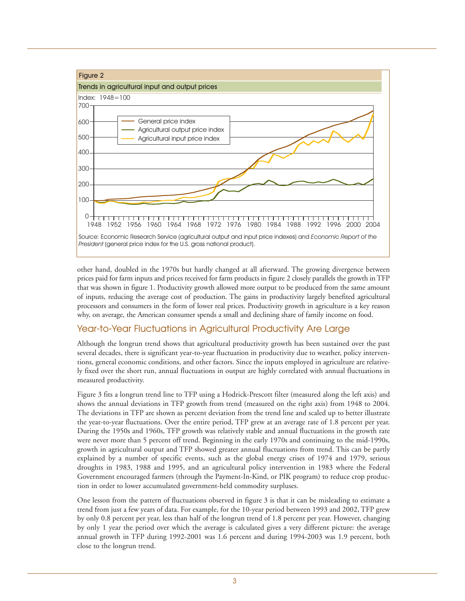

other hand, doubled in the 1970s but hardly changed at all afterward. The growing divergence between prices paid for farm inputs and prices received for farm products in figure 2 closely parallels the growth in TFP that was shown in figure 1. Productivity growth allowed more output to be produced from the same amount of inputs, reducing the average cost of production. The gains in productivity largely benefited agricultural processors and consumers in the form of lower real prices. Productivity growth in agriculture is a key reason why, on average, the American consumer spends a small and declining share of family income on food.

#### Year-to-Year Fluctuations in Agricultural Productivity Are Large

Although the longrun trend shows that agricultural productivity growth has been sustained over the past several decades, there is significant year-to-year fluctuation in productivity due to weather, policy interventions, general economic conditions, and other factors. Since the inputs employed in agriculture are relatively fixed over the short run, annual fluctuations in output are highly correlated with annual fluctuations in measured productivity.

Figure 3 fits a longrun trend line to TFP using a Hodrick-Prescott filter (measured along the left axis) and shows the annual deviations in TFP growth from trend (measured on the right axis) from 1948 to 2004. The deviations in TFP are shown as percent deviation from the trend line and scaled up to better illustrate the year-to-year fluctuations. Over the entire period, TFP grew at an average rate of 1.8 percent per year. During the 1950s and 1960s, TFP growth was relatively stable and annual fluctuations in the growth rate were never more than 5 percent off trend. Beginning in the early 1970s and continuing to the mid-1990s, growth in agricultural output and TFP showed greater annual fluctuations from trend. This can be partly explained by a number of specific events, such as the global energy crises of 1974 and 1979, serious droughts in 1983, 1988 and 1995, and an agricultural policy intervention in 1983 where the Federal Government encouraged farmers (through the Payment-In-Kind, or PIK program) to reduce crop production in order to lower accumulated government-held commodity surpluses.

One lesson from the pattern of fluctuations observed in figure 3 is that it can be misleading to estimate a trend from just a few years of data. For example, for the 10-year period between 1993 and 2002, TFP grew by only 0.8 percent per year, less than half of the longrun trend of 1.8 percent per year. However, changing by only 1 year the period over which the average is calculated gives a very different picture: the average annual growth in TFP during 1992-2001 was 1.6 percent and during 1994-2003 was 1.9 percent, both close to the longrun trend.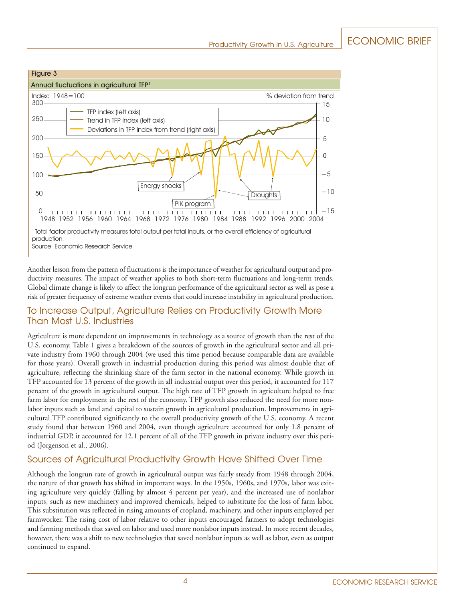

Another lesson from the pattern of fluctuations is the importance of weather for agricultural output and productivity measures. The impact of weather applies to both short-term fluctuations and long-term trends. Global climate change is likely to affect the longrun performance of the agricultural sector as well as pose a risk of greater frequency of extreme weather events that could increase instability in agricultural production.

#### To Increase Output, Agriculture Relies on Productivity Growth More Than Most U.S. Industries

Agriculture is more dependent on improvements in technology as a source of growth than the rest of the U.S. economy. Table 1 gives a breakdown of the sources of growth in the agricultural sector and all private industry from 1960 through 2004 (we used this time period because comparable data are available for those years). Overall growth in industrial production during this period was almost double that of agriculture, reflecting the shrinking share of the farm sector in the national economy. While growth in TFP accounted for 13 percent of the growth in all industrial output over this period, it accounted for 117 percent of the growth in agricultural output. The high rate of TFP growth in agriculture helped to free farm labor for employment in the rest of the economy. TFP growth also reduced the need for more nonlabor inputs such as land and capital to sustain growth in agricultural production. Improvements in agricultural TFP contributed significantly to the overall productivity growth of the U.S. economy. A recent study found that between 1960 and 2004, even though agriculture accounted for only 1.8 percent of industrial GDP, it accounted for 12.1 percent of all of the TFP growth in private industry over this period (Jorgenson et al., 2006).

#### Sources of Agricultural Productivity Growth Have Shifted Over Time

Although the longrun rate of growth in agricultural output was fairly steady from 1948 through 2004, the nature of that growth has shifted in important ways. In the 1950s, 1960s, and 1970s, labor was exiting agriculture very quickly (falling by almost 4 percent per year), and the increased use of nonlabor inputs, such as new machinery and improved chemicals, helped to substitute for the loss of farm labor. This substitution was reflected in rising amounts of cropland, machinery, and other inputs employed per farmworker. The rising cost of labor relative to other inputs encouraged farmers to adopt technologies and farming methods that saved on labor and used more nonlabor inputs instead. In more recent decades, however, there was a shift to new technologies that saved nonlabor inputs as well as labor, even as output continued to expand.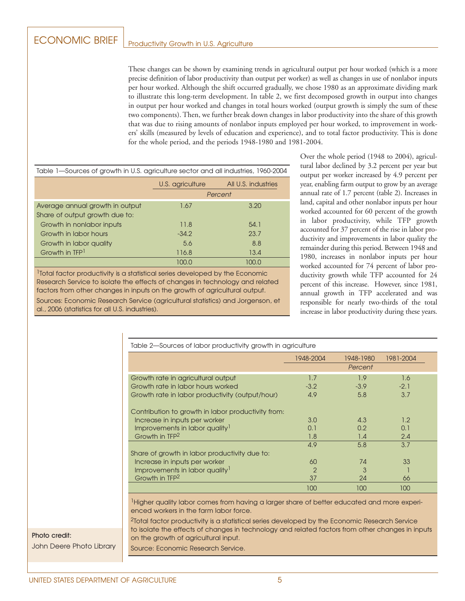These changes can be shown by examining trends in agricultural output per hour worked (which is a more precise definition of labor productivity than output per worker) as well as changes in use of nonlabor inputs per hour worked. Although the shift occurred gradually, we chose 1980 as an approximate dividing mark to illustrate this long-term development. In table 2, we first decomposed growth in output into changes in output per hour worked and changes in total hours worked (output growth is simply the sum of these two components). Then, we further break down changes in labor productivity into the share of this growth that was due to rising amounts of nonlabor inputs employed per hour worked, to improvement in workers' skills (measured by levels of education and experience), and to total factor productivity. This is done for the whole period, and the periods 1948-1980 and 1981-2004.

| Table 1—Sources of growth in U.S. agriculture sector and all industries, 1960-2004 |                  |                     |  |  |
|------------------------------------------------------------------------------------|------------------|---------------------|--|--|
|                                                                                    | U.S. agriculture | All U.S. industries |  |  |
|                                                                                    | Percent          |                     |  |  |
| Average annual growth in output                                                    | 1.67             | 3.20                |  |  |
| Share of output growth due to:                                                     |                  |                     |  |  |
| Growth in nonlabor inputs                                                          | 11.8             | 54.1                |  |  |
| Growth in labor hours                                                              | $-34.2$          | 23.7                |  |  |
| Growth in labor quality                                                            | 5.6              | 8.8                 |  |  |
| Growth in TFP <sup>1</sup>                                                         | 116.8            | 13.4                |  |  |
|                                                                                    | 100.0            | 100.0               |  |  |

1Total factor productivity is a statistical series developed by the Economic Research Service to isolate the effects of changes in technology and related factors from other changes in inputs on the growth of agricultural output.

Sources: Economic Research Service (agricultural statistics) and Jorgenson, et al., 2006 (statistics for all U.S. industries).

Over the whole period (1948 to 2004), agricultural labor declined by 3.2 percent per year but output per worker increased by 4.9 percent per year, enabling farm output to grow by an average annual rate of 1.7 percent (table 2). Increases in land, capital and other nonlabor inputs per hour worked accounted for 60 percent of the growth in labor productivity, while TFP growth accounted for 37 percent of the rise in labor productivity and improvements in labor quality the remainder during this period. Between 1948 and 1980, increases in nonlabor inputs per hour worked accounted for 74 percent of labor productivity growth while TFP accounted for 24 percent of this increase. However, since 1981, annual growth in TFP accelerated and was responsible for nearly two-thirds of the total increase in labor productivity during these years.

| Table 2-Sources of labor productivity growth in agriculture |                |               |           |  |
|-------------------------------------------------------------|----------------|---------------|-----------|--|
|                                                             | 1948-2004      | 1948-1980     | 1981-2004 |  |
|                                                             |                | Percent       |           |  |
| Growth rate in agricultural output                          | 1.7            | 1.9           | 1.6       |  |
| Growth rate in labor hours worked                           | $-3.2$         | $-3.9$        | $-2.1$    |  |
| Growth rate in labor productivity (output/hour)             | 4.9            | 5.8           | 3.7       |  |
| Contribution to growth in labor productivity from:          |                |               |           |  |
| Increase in inputs per worker                               | 3.0            | 4.3           | 1.2       |  |
| Improvements in labor quality <sup>1</sup>                  | 0.1            | $0.2^{\circ}$ | 0.1       |  |
| Growth in TFP <sup>2</sup>                                  | 1.8            | 1.4           | 2.4       |  |
|                                                             | 4.9            | 5.8           | 3.7       |  |
| Share of growth in labor productivity due to:               |                |               |           |  |
| Increase in inputs per worker                               | 60             | 74            | 33        |  |
| Improvements in labor quality <sup>1</sup>                  | $\overline{2}$ | 3             |           |  |
| Growth in TFP <sup>2</sup>                                  | 37             | 24            | 66        |  |
|                                                             | 100            | 100           | 100       |  |

<sup>1</sup> Higher quality labor comes from having a larger share of better educated and more experienced workers in the farm labor force.

2Total factor productivity is a statistical series developed by the Economic Research Service to isolate the effects of changes in technology and related factors from other changes in inputs on the growth of agricultural input.

Source: Economic Research Service.

### John Deere Photo Library

Photo credit: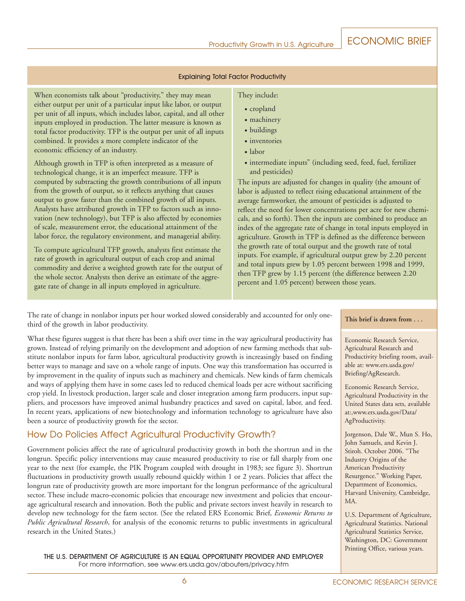#### Explaining Total Factor Productivity

When economists talk about "productivity," they may mean either output per unit of a particular input like labor, or output per unit of all inputs, which includes labor, capital, and all other inputs employed in production. The latter measure is known as total factor productivity. TFP is the output per unit of all inputs combined. It provides a more complete indicator of the economic efficiency of an industry.

Although growth in TFP is often interpreted as a measure of technological change, it is an imperfect measure. TFP is computed by subtracting the growth contributions of all inputs from the growth of output, so it reflects anything that causes output to grow faster than the combined growth of all inputs. Analysts have attributed growth in TFP to factors such as innovation (new technology), but TFP is also affected by economies of scale, measurement error, the educational attainment of the labor force, the regulatory environment, and managerial ability.

To compute agricultural TFP growth, analysts first estimate the rate of growth in agricultural output of each crop and animal commodity and derive a weighted growth rate for the output of the whole sector. Analysts then derive an estimate of the aggregate rate of change in all inputs employed in agriculture.

#### They include:

- cropland
- machinery
- buildings
- inventories
- labor
- intermediate inputs" (including seed, feed, fuel, fertilizer and pesticides)

The inputs are adjusted for changes in quality (the amount of labor is adjusted to reflect rising educational attainment of the average farmworker, the amount of pesticides is adjusted to reflect the need for lower concentrations per acre for new chemicals, and so forth). Then the inputs are combined to produce an index of the aggregate rate of change in total inputs employed in agriculture. Growth in TFP is defined as the difference between the growth rate of total output and the growth rate of total inputs. For example, if agricultural output grew by 2.20 percent and total inputs grew by 1.05 percent between 1998 and 1999, then TFP grew by 1.15 percent (the difference between 2.20 percent and 1.05 percent) between those years.

The rate of change in nonlabor inputs per hour worked slowed considerably and accounted for only onethird of the growth in labor productivity.

What these figures suggest is that there has been a shift over time in the way agricultural productivity has grown. Instead of relying primarily on the development and adoption of new farming methods that substitute nonlabor inputs for farm labor, agricultural productivity growth is increasingly based on finding better ways to manage and save on a whole range of inputs. One way this transformation has occurred is by improvement in the quality of inputs such as machinery and chemicals. New kinds of farm chemicals and ways of applying them have in some cases led to reduced chemical loads per acre without sacrificing crop yield. In livestock production, larger scale and closer integration among farm producers, input suppliers, and processors have improved animal husbandry practices and saved on capital, labor, and feed. In recent years, applications of new biotechnology and information technology to agriculture have also been a source of productivity growth for the sector.

#### How Do Policies Affect Agricultural Productivity Growth?

Government policies affect the rate of agricultural productivity growth in both the shortrun and in the longrun. Specific policy interventions may cause measured productivity to rise or fall sharply from one year to the next (for example, the PIK Program coupled with drought in 1983; see figure 3). Shortrun fluctuations in productivity growth usually rebound quickly within 1 or 2 years. Policies that affect the longrun rate of productivity growth are more important for the longrun performance of the agricultural sector. These include macro-economic policies that encourage new investment and policies that encourage agricultural research and innovation. Both the public and private sectors invest heavily in research to develop new technology for the farm sector. (See the related ERS Economic Brief, *Economic Returns to Public Agricultural Research*, for analysis of the economic returns to public investments in agricultural research in the United States.)

THE U.S. DEPARTMENT OF AGRICULTURE IS AN EQUAL OPPORTUNITY PROVIDER AND EMPLOYER For more information, see www.ers.usda.gov/abouters/privacy.htm

#### **This brief is drawn from . . .**

Economic Research Service, Agricultural Research and Productivity briefing room, available at: www.ers.usda.gov/ Briefing/AgResearch.

Economic Research Service, Agricultural Productivity in the United States data sets, available at:,www.ers.usda.gov/Data/ AgProductivity.

Jorgenson, Dale W., Mun S. Ho, John Samuels, and Kevin J. Stiroh. October 2006. "The Industry Origins of the American Productivity Resurgence." Working Paper, Department of Economics, Harvard University, Cambridge, MA.

U.S. Department of Agriculture, Agricultural Statistics. National Agricultural Statistics Service, Washington, DC: Government Printing Office, various years.